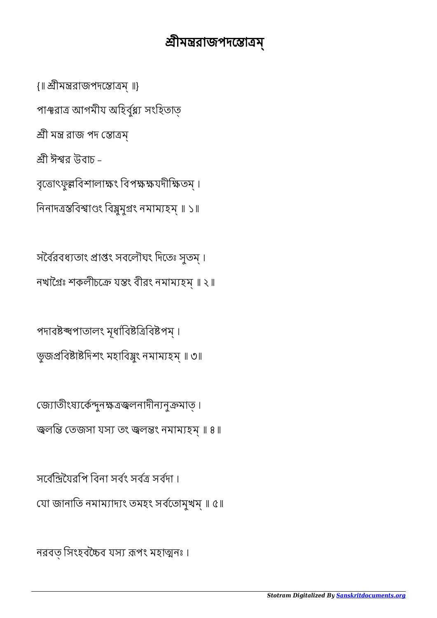## শ্রীমন্তরাজপদন্তোত্রম্

{॥ ীমরাজপদোম্ ॥}

পাঞ্চরাত্র আগমীয অহির্বুধ্ব্য সংহিতাত

শ্ৰী মন্ত্ৰ রাজ পদ স্তোত্রম্

শ্রী ঈশ্বর উবাচ –

বৃত্তোৎফুল্লবিশালাক্ষং বিপক্ষক্ষযদীক্ষিতম্।

নিনাদত্ৰস্তবিশ্বাণ্ডং বিষ্ণুযুগং নমাম্যহম্ ॥ ১॥

সর্বৈরবধ্যতাং প্রাপ্তং সবলৌঘং দিতেঃ সুতম্। নখাগ্রৈঃ শকলীচক্রে যন্তং বীরং নমাম্যহম্॥ ২॥

পদাবষ্টব্ঘপাতালং মূধাবিষ্টত্ৰিবিষ্টপম্। ভূজপ্ৰবিষ্টাষ্টদিশং মহাবিষ্ণুং নমাম্যহম্ ॥ ৩॥

জ্যোতীংষ্যৰ্কেন্দুনক্ষত্ৰজ্বনাদীন্যনুক্ৰমাত্। জ্বলন্তি তেজসা যস্য তং জ্বলন্তং নমাম্যহম্ ॥ ৪॥

সর্বেন্দিয়ৈবপি বিনা সর্বং সর্বত্র সর্বদা । যা জানািত নমামাদং তমহং সবেতামুখম্ ॥ ৫॥

নরবত সিংহবচ্চৈব যস্য রূপং মহাত্মনঃ ।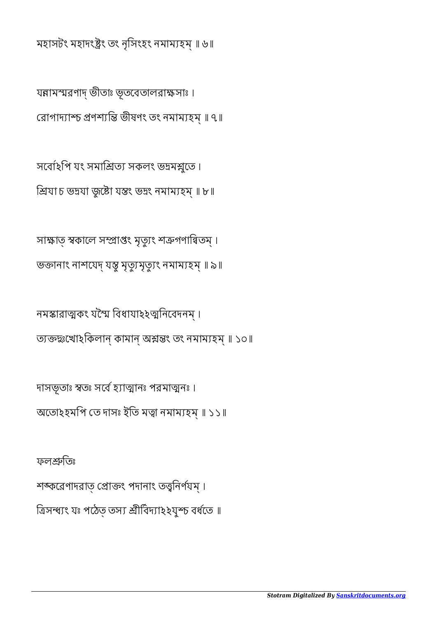ফলিতঃ শঙ্করেণাদরাত প্রোক্তং পদানাং তত্ত্বনির্ণযম্। ত্রিসম্ব্যং যঃ পঠেত তস্য শ্রীবিদ্যা২২যুশ্চ বর্ধতে ॥

দাসভূতাঃ স্বতঃ সর্বে হ্যাত্মানঃ পরমাত্মনঃ। অতোহহমপি তে দাসঃ ইতি মত্বা নমাম্যহম্ ॥ ১১॥

নমস্কারাত্মকং যশ্মৈ বিধাযা২২ত্মনিবেদনম্। ত্যক্তন্থঃখোহকিলান্ কামান্ অশ্লন্তং তং নমাম্যহম্ ॥ ১০॥

সাক্ষাত স্বকালে সম্প্ৰাপ্তং মৃত্যুং শত্ৰুগণান্বিতম্। ভক্তানাং নাশযেদ্ যন্তু মৃত্যুমৃত্যুং নমাম্যহম্ ॥ ৯॥

সর্বোহপি যং সমাশ্রিত্য সকলং ভদ্রমশ্লুতে। শ্ৰিযা চ ভদ্ৰযা জুষ্টো যন্তং ভদ্ৰং নমাম্যহম্ ॥ ৮॥

যন্নামস্মরণাদ্ ভীতাঃ ভূতবেতালরাক্ষসাঃ। রোগাদ্যাশ্চ প্রণশ্যন্তি ভীষণং তং নমাম্যহম্ ॥ ৭॥

মহাসটং মহাদংষ্ট্ৰং তং নৃসিংহং নমাম্যহম্ ॥ ৬॥